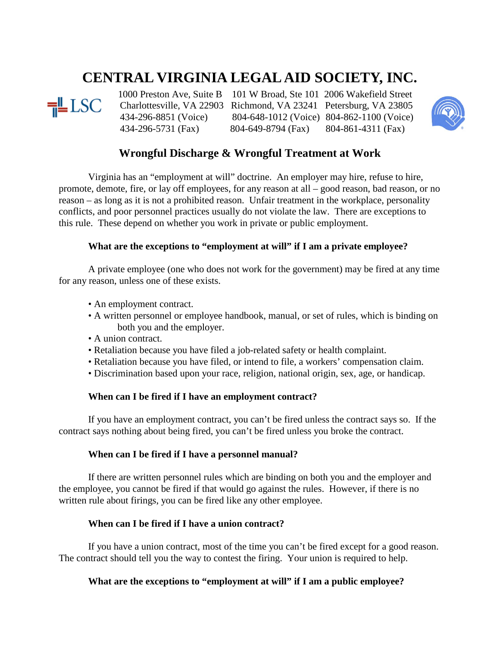# **CENTRAL VIRGINIA LEGAL AID SOCIETY, INC.**



1000 Preston Ave, Suite B 101 W Broad, Ste 101 2006 Wakefield Street<br> **THE LSC** Charlottesville, VA 22903 Richmond, VA 23241 Petersburg, VA 23805 Charlottesville, VA 22903 Richmond, VA 23241 Petersburg, VA 23805 434-296-8851 (Voice) 804-648-1012 (Voice) 804-862-1100 (Voice) 434-296-5731 (Fax) 804-649-8794 (Fax) 804-861-4311 (Fax)



## **Wrongful Discharge & Wrongful Treatment at Work**

Virginia has an "employment at will" doctrine. An employer may hire, refuse to hire, promote, demote, fire, or lay off employees, for any reason at all – good reason, bad reason, or no reason – as long as it is not a prohibited reason. Unfair treatment in the workplace, personality conflicts, and poor personnel practices usually do not violate the law. There are exceptions to this rule. These depend on whether you work in private or public employment.

### **What are the exceptions to "employment at will" if I am a private employee?**

A private employee (one who does not work for the government) may be fired at any time for any reason, unless one of these exists.

- An employment contract.
- A written personnel or employee handbook, manual, or set of rules, which is binding on both you and the employer.
- A union contract.
- Retaliation because you have filed a job-related safety or health complaint.
- Retaliation because you have filed, or intend to file, a workers' compensation claim.
- Discrimination based upon your race, religion, national origin, sex, age, or handicap.

#### **When can I be fired if I have an employment contract?**

If you have an employment contract, you can't be fired unless the contract says so. If the contract says nothing about being fired, you can't be fired unless you broke the contract.

#### **When can I be fired if I have a personnel manual?**

If there are written personnel rules which are binding on both you and the employer and the employee, you cannot be fired if that would go against the rules. However, if there is no written rule about firings, you can be fired like any other employee.

#### **When can I be fired if I have a union contract?**

If you have a union contract, most of the time you can't be fired except for a good reason. The contract should tell you the way to contest the firing. Your union is required to help.

#### **What are the exceptions to "employment at will" if I am a public employee?**